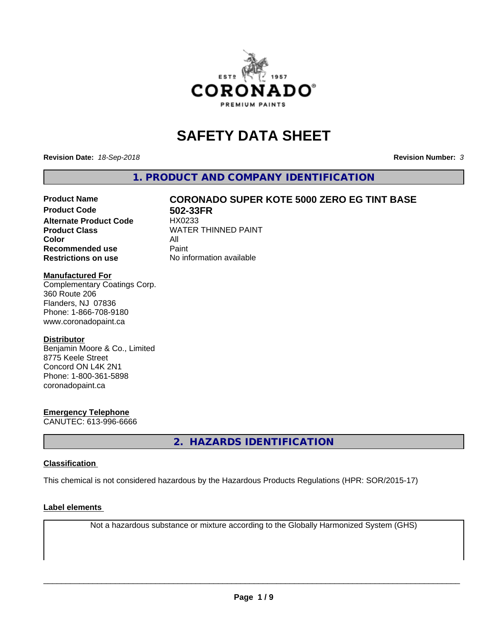

# **SAFETY DATA SHEET**

**Revision Date:** *18-Sep-2018* **Revision Number:** *3*

**1. PRODUCT AND COMPANY IDENTIFICATION**

# Product Name **CORONADO SUPER KOTE 5000 ZERO EG TINT BASE**<br>Product Code 602-33FR

**Alternate Product Code Color** All<br> **Recommended use** Paint **Recommended use Restrictions on use** No information available

**502-33FR**<br>HX0233 **Product Class WATER THINNED PAINT** 

#### **Manufactured For**

Complementary Coatings Corp. 360 Route 206 Flanders, NJ 07836 Phone: 1-866-708-9180 www.coronadopaint.ca

#### **Distributor**

Benjamin Moore & Co., Limited 8775 Keele Street Concord ON L4K 2N1 Phone: 1-800-361-5898 coronadopaint.ca

## **Emergency Telephone**

CANUTEC: 613-996-6666

**2. HAZARDS IDENTIFICATION**

#### **Classification**

This chemical is not considered hazardous by the Hazardous Products Regulations (HPR: SOR/2015-17)

#### **Label elements**

Not a hazardous substance or mixture according to the Globally Harmonized System (GHS)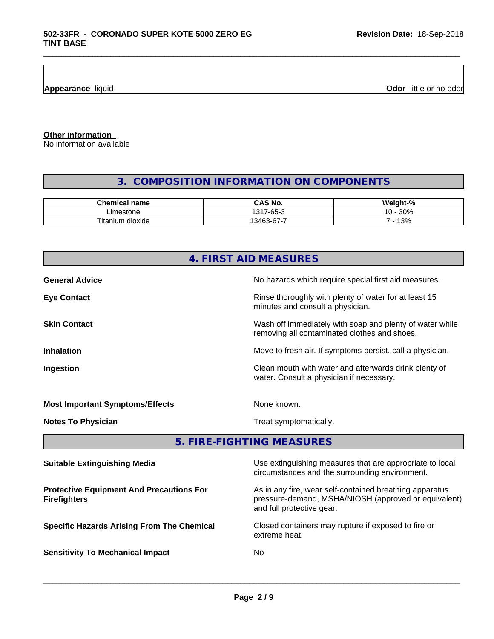**Appearance** liquid

**Odor** little or no odor

**Other information**

No information available

# **3. COMPOSITION INFORMATION ON COMPONENTS**

\_\_\_\_\_\_\_\_\_\_\_\_\_\_\_\_\_\_\_\_\_\_\_\_\_\_\_\_\_\_\_\_\_\_\_\_\_\_\_\_\_\_\_\_\_\_\_\_\_\_\_\_\_\_\_\_\_\_\_\_\_\_\_\_\_\_\_\_\_\_\_\_\_\_\_\_\_\_\_\_\_\_\_\_\_\_\_\_\_\_\_\_\_

| Chemical<br>name                  | <b>NC</b><br>ں                                                | <br>$\mathbf{a}$<br>$M$ cicles<br>$\sqrt{2}$ |
|-----------------------------------|---------------------------------------------------------------|----------------------------------------------|
| _imestone                         | $\sim$ $\sim$<br>1017<br>$\overline{\phantom{a}}$<br>ึ้น<br>ີ | 30%<br>ໍດ<br>. V J                           |
| ÷.<br>ı dioxide<br>⊺ıtaniı<br>ium | $\sim$<br>-<br>3463<br>ั⊀-ค                                   | 13%                                          |

# **4. FIRST AID MEASURES General Advice General Advice No hazards which require special first aid measures. Eye Contact Exercise 20 All 20 All 20 All 20 All 20 All 20 All 20 All 20 All 20 All 20 All 20 All 20 All 20 All 20 All 20 All 20 All 20 All 20 All 20 All 20 All 20 All 20 All 20 All 20 All 20 All 20 All 20 All 20 All 20** minutes and consult a physician. **Skin Contact** Same of the Mash off immediately with soap and plenty of water while removing all contaminated clothes and shoes. **Inhalation Inhalation Move to fresh air.** If symptoms persist, call a physician. **Ingestion Ingestion Clean mouth with water and afterwards drink plenty of** water. Consult a physician if necessary. **Most Important Symptoms/Effects** None known. **Notes To Physician** Motes To Physician Treat symptomatically. **5. FIRE-FIGHTING MEASURES**

| <b>Suitable Extinguishing Media</b>                                    | Use extinguishing measures that are appropriate to local<br>circumstances and the surrounding environment.                                   |
|------------------------------------------------------------------------|----------------------------------------------------------------------------------------------------------------------------------------------|
| <b>Protective Equipment And Precautions For</b><br><b>Firefighters</b> | As in any fire, wear self-contained breathing apparatus<br>pressure-demand, MSHA/NIOSH (approved or equivalent)<br>and full protective gear. |
| <b>Specific Hazards Arising From The Chemical</b>                      | Closed containers may rupture if exposed to fire or<br>extreme heat.                                                                         |
| <b>Sensitivity To Mechanical Impact</b>                                | No.                                                                                                                                          |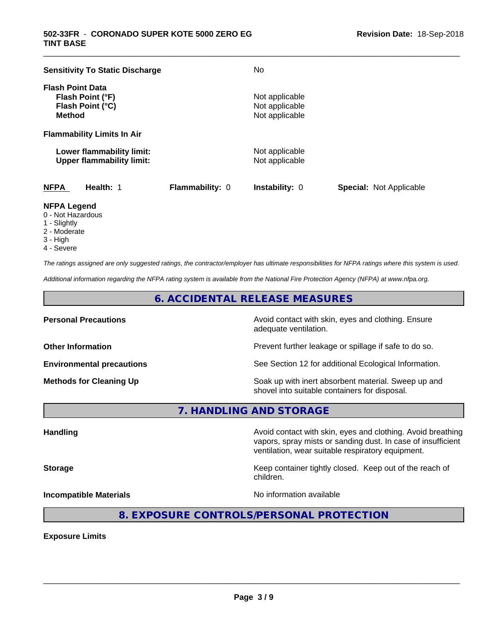| <b>Sensitivity To Static Discharge</b>                                           |                 | No                                                 |                                |
|----------------------------------------------------------------------------------|-----------------|----------------------------------------------------|--------------------------------|
| <b>Flash Point Data</b><br>Flash Point (°F)<br>Flash Point (°C)<br><b>Method</b> |                 | Not applicable<br>Not applicable<br>Not applicable |                                |
| <b>Flammability Limits In Air</b>                                                |                 |                                                    |                                |
| Lower flammability limit:<br><b>Upper flammability limit:</b>                    |                 | Not applicable<br>Not applicable                   |                                |
| <b>NFPA</b><br>Health: 1                                                         | Flammability: 0 | <b>Instability: 0</b>                              | <b>Special: Not Applicable</b> |

\_\_\_\_\_\_\_\_\_\_\_\_\_\_\_\_\_\_\_\_\_\_\_\_\_\_\_\_\_\_\_\_\_\_\_\_\_\_\_\_\_\_\_\_\_\_\_\_\_\_\_\_\_\_\_\_\_\_\_\_\_\_\_\_\_\_\_\_\_\_\_\_\_\_\_\_\_\_\_\_\_\_\_\_\_\_\_\_\_\_\_\_\_

# **NFPA Legend**

- 0 Not Hazardous
- 1 Slightly
- 2 Moderate
- 3 High
- 4 Severe

*The ratings assigned are only suggested ratings, the contractor/employer has ultimate responsibilities for NFPA ratings where this system is used.*

*Additional information regarding the NFPA rating system is available from the National Fire Protection Agency (NFPA) at www.nfpa.org.*

# **6. ACCIDENTAL RELEASE MEASURES**

**Personal Precautions Precautions** Avoid contact with skin, eyes and clothing. Ensure adequate ventilation.

**Other Information Other Information Prevent further leakage or spillage if safe to do so.** 

**Environmental precautions** See Section 12 for additional Ecological Information.

**Methods for Cleaning Up Example 20 Soak** up with inert absorbent material. Sweep up and shovel into suitable containers for disposal.

vapors, spray mists or sanding dust. In case of insufficient

ventilation, wear suitable respiratory equipment.

**7. HANDLING AND STORAGE**

**Handling Handling Avoid contact with skin, eyes and clothing. Avoid breathing** 

**Storage Keep container tightly closed.** Keep out of the reach of

**Incompatible Materials Incompatible Materials No information available** 

 $\overline{\phantom{a}}$  ,  $\overline{\phantom{a}}$  ,  $\overline{\phantom{a}}$  ,  $\overline{\phantom{a}}$  ,  $\overline{\phantom{a}}$  ,  $\overline{\phantom{a}}$  ,  $\overline{\phantom{a}}$  ,  $\overline{\phantom{a}}$  ,  $\overline{\phantom{a}}$  ,  $\overline{\phantom{a}}$  ,  $\overline{\phantom{a}}$  ,  $\overline{\phantom{a}}$  ,  $\overline{\phantom{a}}$  ,  $\overline{\phantom{a}}$  ,  $\overline{\phantom{a}}$  ,  $\overline{\phantom{a}}$ 

children.

**8. EXPOSURE CONTROLS/PERSONAL PROTECTION**

**Exposure Limits**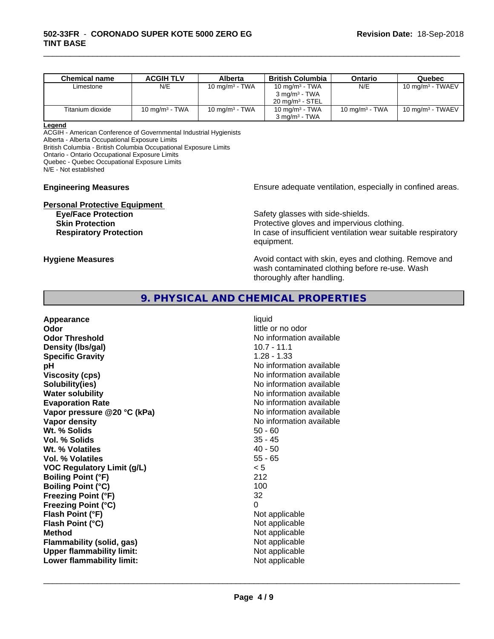| <b>Chemical name</b> | <b>ACGIH TLV</b> | Alberta           | <b>British Columbia</b>    | Ontario           | Quebec                       |
|----------------------|------------------|-------------------|----------------------------|-------------------|------------------------------|
| Limestone            | N/E              | 10 mg/m $3$ - TWA | 10 mg/m $3$ - TWA          | N/E               | 10 mg/m <sup>3</sup> - TWAEV |
|                      |                  |                   | $3 \text{ ma/m}^3$ - TWA   |                   |                              |
|                      |                  |                   | $20 \text{ ma/m}^3$ - STEL |                   |                              |
| Titanium dioxide     | 10 $mq/m3$ - TWA | 10 mg/m $3$ - TWA | 10 mg/m $3$ - TWA          | 10 mg/m $3$ - TWA | 10 mg/m $3$ - TWAEV          |
|                      |                  |                   | $3 \text{ mg/m}^3$ - TWA   |                   |                              |

\_\_\_\_\_\_\_\_\_\_\_\_\_\_\_\_\_\_\_\_\_\_\_\_\_\_\_\_\_\_\_\_\_\_\_\_\_\_\_\_\_\_\_\_\_\_\_\_\_\_\_\_\_\_\_\_\_\_\_\_\_\_\_\_\_\_\_\_\_\_\_\_\_\_\_\_\_\_\_\_\_\_\_\_\_\_\_\_\_\_\_\_\_

#### **Legend**

ACGIH - American Conference of Governmental Industrial Hygienists

Alberta - Alberta Occupational Exposure Limits

British Columbia - British Columbia Occupational Exposure Limits

Ontario - Ontario Occupational Exposure Limits

Quebec - Quebec Occupational Exposure Limits

N/E - Not established

**Personal Protective Equipment**<br> **Eve/Face Protection** 

**Engineering Measures Ensure** Ensure adequate ventilation, especially in confined areas.

Safety glasses with side-shields. **Skin Protection Protective gloves and impervious clothing. Respiratory Protection In case of insufficient ventilation wear suitable respiratory** equipment.

**Hygiene Measures Avoid contact with skin, eyes and clothing. Remove and Hygiene Measures Avoid contact with skin, eyes and clothing. Remove and** wash contaminated clothing before re-use. Wash thoroughly after handling.

# **9. PHYSICAL AND CHEMICAL PROPERTIES**

| Appearance<br>Odor<br><b>Odor Threshold</b><br>Density (Ibs/gal) | liquid<br>little or no odor<br>No information available<br>$10.7 - 11.1$ |
|------------------------------------------------------------------|--------------------------------------------------------------------------|
| <b>Specific Gravity</b>                                          | $1.28 - 1.33$                                                            |
| рH                                                               | No information available<br>No information available                     |
| <b>Viscosity (cps)</b>                                           | No information available                                                 |
| Solubility(ies)<br><b>Water solubility</b>                       | No information available                                                 |
| <b>Evaporation Rate</b>                                          | No information available                                                 |
| Vapor pressure @20 °C (kPa)                                      | No information available                                                 |
| Vapor density                                                    | No information available                                                 |
| Wt. % Solids                                                     | $50 - 60$                                                                |
| Vol. % Solids                                                    | $35 - 45$                                                                |
| Wt. % Volatiles                                                  | $40 - 50$                                                                |
| Vol. % Volatiles                                                 | $55 - 65$                                                                |
| <b>VOC Regulatory Limit (g/L)</b>                                | < 5                                                                      |
| <b>Boiling Point (°F)</b>                                        | 212                                                                      |
| <b>Boiling Point (°C)</b>                                        | 100                                                                      |
| <b>Freezing Point (°F)</b>                                       | 32                                                                       |
| <b>Freezing Point (°C)</b>                                       | 0                                                                        |
| Flash Point (°F)                                                 | Not applicable                                                           |
| Flash Point (°C)                                                 | Not applicable                                                           |
| <b>Method</b>                                                    | Not applicable                                                           |
| Flammability (solid, gas)                                        | Not applicable                                                           |
| <b>Upper flammability limit:</b>                                 | Not applicable                                                           |
| Lower flammability limit:                                        | Not applicable                                                           |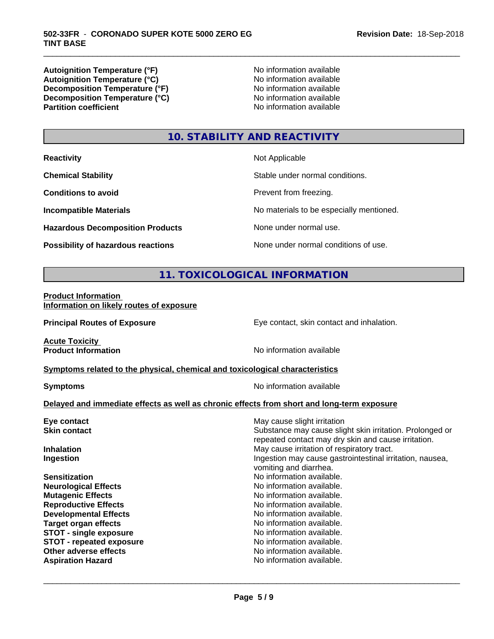**Autoignition Temperature (°F)**<br> **Autoignition Temperature (°C)** No information available **Autoignition Temperature (°C)**<br> **Decomposition Temperature (°F)** No information available<br>
No information available **Decomposition Temperature (°F) Decomposition Temperature (°C)**<br> **Partition coefficient**<br> **Partition coefficient**<br> **No** information available

**No information available** 

\_\_\_\_\_\_\_\_\_\_\_\_\_\_\_\_\_\_\_\_\_\_\_\_\_\_\_\_\_\_\_\_\_\_\_\_\_\_\_\_\_\_\_\_\_\_\_\_\_\_\_\_\_\_\_\_\_\_\_\_\_\_\_\_\_\_\_\_\_\_\_\_\_\_\_\_\_\_\_\_\_\_\_\_\_\_\_\_\_\_\_\_\_

# **10. STABILITY AND REACTIVITY**

**Hazardous Decomposition Products** None under normal use.

**Not Applicable** 

**Chemical Stability Chemical Stability** Stable under normal conditions.

**Conditions to avoid Conditions to avoid Prevent from freezing.** 

**Incompatible Materials No materials** No materials to be especially mentioned.

**Possibility of hazardous reactions** None under normal conditions of use.

# **11. TOXICOLOGICAL INFORMATION**

**Product Information Information on likely routes of exposure**

**Principal Routes of Exposure Exposure** Eye contact, skin contact and inhalation.

**Acute Toxicity<br>Product Information** 

**No information available** 

**<u>Symptoms related to the physical, chemical and toxicological characteristics</u>** 

**Symptoms** No information available

 $\overline{\phantom{a}}$  ,  $\overline{\phantom{a}}$  ,  $\overline{\phantom{a}}$  ,  $\overline{\phantom{a}}$  ,  $\overline{\phantom{a}}$  ,  $\overline{\phantom{a}}$  ,  $\overline{\phantom{a}}$  ,  $\overline{\phantom{a}}$  ,  $\overline{\phantom{a}}$  ,  $\overline{\phantom{a}}$  ,  $\overline{\phantom{a}}$  ,  $\overline{\phantom{a}}$  ,  $\overline{\phantom{a}}$  ,  $\overline{\phantom{a}}$  ,  $\overline{\phantom{a}}$  ,  $\overline{\phantom{a}}$ 

### **Delayed and immediate effects as well as chronic effects from short and long-term exposure**

| Eye contact                     | May cause slight irritation                                                                                     |
|---------------------------------|-----------------------------------------------------------------------------------------------------------------|
| <b>Skin contact</b>             | Substance may cause slight skin irritation. Prolonged or<br>repeated contact may dry skin and cause irritation. |
| <b>Inhalation</b>               | May cause irritation of respiratory tract.                                                                      |
| Ingestion                       | Ingestion may cause gastrointestinal irritation, nausea,<br>vomiting and diarrhea.                              |
| <b>Sensitization</b>            | No information available.                                                                                       |
| <b>Neurological Effects</b>     | No information available.                                                                                       |
| <b>Mutagenic Effects</b>        | No information available.                                                                                       |
| <b>Reproductive Effects</b>     | No information available.                                                                                       |
| <b>Developmental Effects</b>    | No information available.                                                                                       |
| <b>Target organ effects</b>     | No information available.                                                                                       |
| <b>STOT - single exposure</b>   | No information available.                                                                                       |
| <b>STOT - repeated exposure</b> | No information available.                                                                                       |
| Other adverse effects           | No information available.                                                                                       |
| <b>Aspiration Hazard</b>        | No information available.                                                                                       |
|                                 |                                                                                                                 |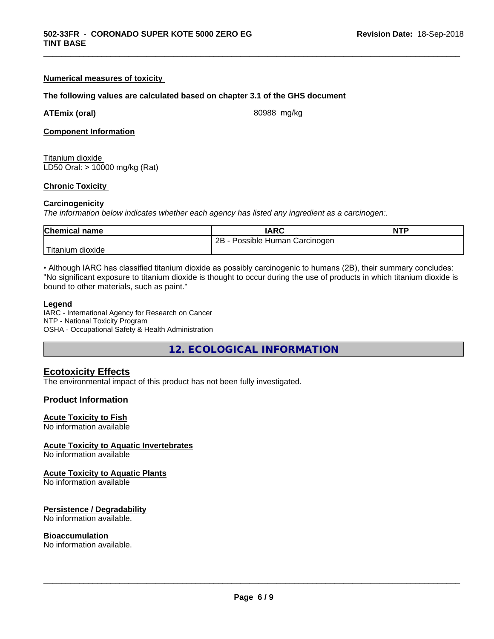### **Numerical measures of toxicity**

#### **The following values are calculated based on chapter 3.1 of the GHS document**

**ATEmix (oral)** 80988 mg/kg

\_\_\_\_\_\_\_\_\_\_\_\_\_\_\_\_\_\_\_\_\_\_\_\_\_\_\_\_\_\_\_\_\_\_\_\_\_\_\_\_\_\_\_\_\_\_\_\_\_\_\_\_\_\_\_\_\_\_\_\_\_\_\_\_\_\_\_\_\_\_\_\_\_\_\_\_\_\_\_\_\_\_\_\_\_\_\_\_\_\_\_\_\_

**Component Information**

Titanium dioxide LD50 Oral: > 10000 mg/kg (Rat)

#### **Chronic Toxicity**

#### **Carcinogenicity**

*The information below indicateswhether each agency has listed any ingredient as a carcinogen:.*

| <b>Chemical name</b> | <b>IARC</b>                           | <b>NTP</b> |
|----------------------|---------------------------------------|------------|
|                      | 2B<br>Possible<br>Carcinogen<br>Human |            |
| dioxide<br>⊺ıtanıum  |                                       |            |

• Although IARC has classified titanium dioxide as possibly carcinogenic to humans (2B), their summary concludes: "No significant exposure to titanium dioxide is thought to occur during the use of products in which titanium dioxide is bound to other materials, such as paint."

#### **Legend**

IARC - International Agency for Research on Cancer NTP - National Toxicity Program OSHA - Occupational Safety & Health Administration

**12. ECOLOGICAL INFORMATION**

### **Ecotoxicity Effects**

The environmental impact of this product has not been fully investigated.

#### **Product Information**

#### **Acute Toxicity to Fish**

No information available

#### **Acute Toxicity to Aquatic Invertebrates**

No information available

#### **Acute Toxicity to Aquatic Plants**

No information available

#### **Persistence / Degradability**

No information available.

#### **Bioaccumulation**

No information available.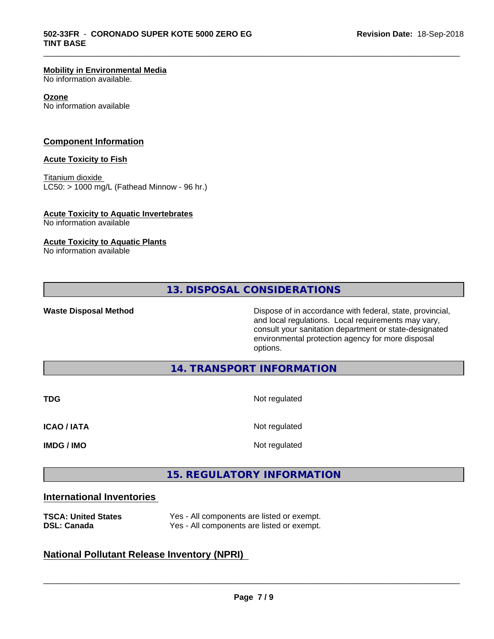#### **Mobility in Environmental Media**

No information available.

#### **Ozone**

No information available

# **Component Information**

#### **Acute Toxicity to Fish**

Titanium dioxide  $LC50:$  > 1000 mg/L (Fathead Minnow - 96 hr.)

#### **Acute Toxicity to Aquatic Invertebrates**

No information available

#### **Acute Toxicity to Aquatic Plants**

No information available

**13. DISPOSAL CONSIDERATIONS**

\_\_\_\_\_\_\_\_\_\_\_\_\_\_\_\_\_\_\_\_\_\_\_\_\_\_\_\_\_\_\_\_\_\_\_\_\_\_\_\_\_\_\_\_\_\_\_\_\_\_\_\_\_\_\_\_\_\_\_\_\_\_\_\_\_\_\_\_\_\_\_\_\_\_\_\_\_\_\_\_\_\_\_\_\_\_\_\_\_\_\_\_\_

**Waste Disposal Method Dispose of in accordance with federal, state, provincial,** and local regulations. Local requirements may vary, consult your sanitation department or state-designated environmental protection agency for more disposal options.

#### **14. TRANSPORT INFORMATION**

| <b>TDG</b>         | Not regulated |
|--------------------|---------------|
| <b>ICAO / IATA</b> | Not regulated |
| <b>IMDG / IMO</b>  | Not regulated |

# **15. REGULATORY INFORMATION**

# **International Inventories**

| <b>TSCA: United States</b> | Yes - All components are listed or exempt. |
|----------------------------|--------------------------------------------|
| <b>DSL: Canada</b>         | Yes - All components are listed or exempt. |

# **National Pollutant Release Inventory (NPRI)**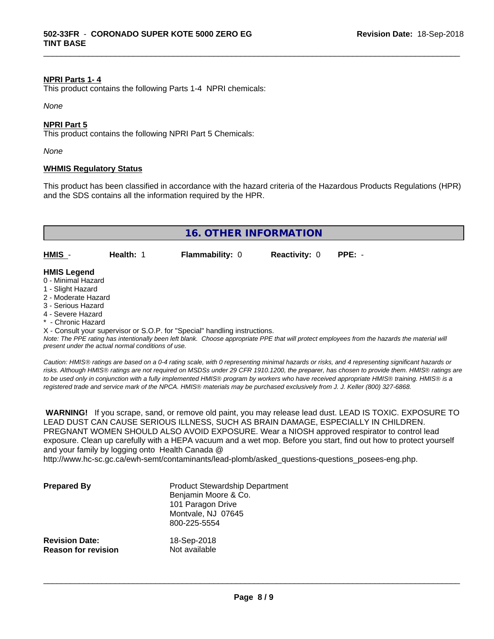#### **NPRI Parts 1- 4**

This product contains the following Parts 1-4 NPRI chemicals:

*None*

#### **NPRI Part 5**

This product contains the following NPRI Part 5 Chemicals:

*None*

#### **WHMIS Regulatory Status**

This product has been classified in accordance with the hazard criteria of the Hazardous Products Regulations (HPR) and the SDS contains all the information required by the HPR.

\_\_\_\_\_\_\_\_\_\_\_\_\_\_\_\_\_\_\_\_\_\_\_\_\_\_\_\_\_\_\_\_\_\_\_\_\_\_\_\_\_\_\_\_\_\_\_\_\_\_\_\_\_\_\_\_\_\_\_\_\_\_\_\_\_\_\_\_\_\_\_\_\_\_\_\_\_\_\_\_\_\_\_\_\_\_\_\_\_\_\_\_\_

**16. OTHER INFORMATION HMIS** - **Health:** 1 **Flammability:** 0 **Reactivity:** 0 **PPE:** - **HMIS Legend** 0 - Minimal Hazard 1 - Slight Hazard 2 - Moderate Hazard 3 - Serious Hazard 4 - Severe Hazard

\* - Chronic Hazard

X - Consult your supervisor or S.O.P. for "Special" handling instructions.

*Note: The PPE rating has intentionally been left blank. Choose appropriate PPE that will protect employees from the hazards the material will present under the actual normal conditions of use.*

*Caution: HMISÒ ratings are based on a 0-4 rating scale, with 0 representing minimal hazards or risks, and 4 representing significant hazards or risks. Although HMISÒ ratings are not required on MSDSs under 29 CFR 1910.1200, the preparer, has chosen to provide them. HMISÒ ratings are to be used only in conjunction with a fully implemented HMISÒ program by workers who have received appropriate HMISÒ training. HMISÒ is a registered trade and service mark of the NPCA. HMISÒ materials may be purchased exclusively from J. J. Keller (800) 327-6868.*

 **WARNING!** If you scrape, sand, or remove old paint, you may release lead dust. LEAD IS TOXIC. EXPOSURE TO LEAD DUST CAN CAUSE SERIOUS ILLNESS, SUCH AS BRAIN DAMAGE, ESPECIALLY IN CHILDREN. PREGNANT WOMEN SHOULD ALSO AVOID EXPOSURE.Wear a NIOSH approved respirator to control lead exposure. Clean up carefully with a HEPA vacuum and a wet mop. Before you start, find out how to protect yourself and your family by logging onto Health Canada @

http://www.hc-sc.gc.ca/ewh-semt/contaminants/lead-plomb/asked\_questions-questions\_posees-eng.php.

| <b>Prepared By</b>                                  | <b>Product Stewardship Department</b><br>Benjamin Moore & Co.<br>101 Paragon Drive<br>Montvale, NJ 07645<br>800-225-5554 |  |
|-----------------------------------------------------|--------------------------------------------------------------------------------------------------------------------------|--|
| <b>Revision Date:</b><br><b>Reason for revision</b> | 18-Sep-2018<br>Not available                                                                                             |  |